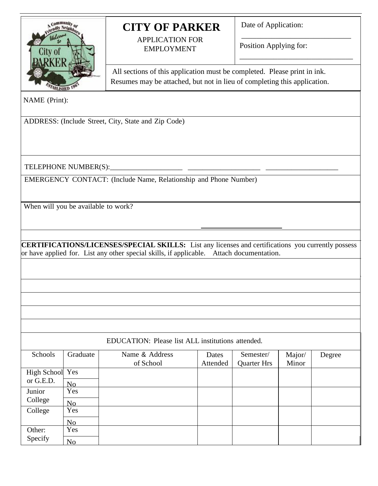

# **CITY OF PARKER**

APPLICATION FOR EMPLOYMENT

Date of Application:

Position Applying for:

\_\_\_\_\_\_\_\_\_\_\_\_\_\_\_\_\_\_\_\_\_\_\_\_\_\_\_\_\_

\_\_\_\_\_\_\_\_\_\_\_\_\_\_\_\_\_\_\_\_\_\_\_\_\_\_\_\_\_\_

\_\_ All sections of this application must be completed. Please print in ink. Resumes may be attached, but not in lieu of completing this application.

NAME (Print):

ADDRESS: (Include Street, City, State and Zip Code)

TELEPHONE NUMBER(S):\_\_\_\_\_\_\_\_\_\_\_\_\_\_\_\_\_\_\_\_ \_\_\_\_\_\_\_\_\_\_\_\_\_\_\_\_\_\_\_\_ \_\_\_\_\_\_\_\_\_\_\_\_\_\_\_\_\_\_\_\_

EMERGENCY CONTACT: (Include Name, Relationship and Phone Number)

When will you be available to work?

**CERTIFICATIONS/LICENSES/SPECIAL SKILLS:** List any licenses and certifications you currently possess or have applied for. List any other special skills, if applicable. Attach documentation.

|                 |                | EDUCATION: Please list ALL institutions attended. |          |                    |        |        |
|-----------------|----------------|---------------------------------------------------|----------|--------------------|--------|--------|
| Schools         | Graduate       | Name & Address                                    | Dates    | Semester/          | Major/ | Degree |
|                 |                | of School                                         | Attended | <b>Quarter Hrs</b> | Minor  |        |
| High School Yes |                |                                                   |          |                    |        |        |
| or G.E.D.       | No             |                                                   |          |                    |        |        |
| Junior          | Yes            |                                                   |          |                    |        |        |
| College         | N <sub>o</sub> |                                                   |          |                    |        |        |
| College         | Yes            |                                                   |          |                    |        |        |
|                 | N <sub>o</sub> |                                                   |          |                    |        |        |
| Other:          | Yes            |                                                   |          |                    |        |        |
| Specify         | No             |                                                   |          |                    |        |        |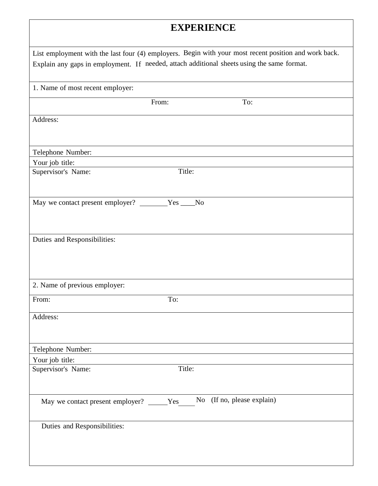## **EXPERIENCE**

| 1. Name of most recent employer:                   |        |     |  |
|----------------------------------------------------|--------|-----|--|
|                                                    | From:  | To: |  |
| Address:                                           |        |     |  |
| Telephone Number:                                  |        |     |  |
| Your job title:                                    |        |     |  |
| Supervisor's Name:                                 | Title: |     |  |
| May we contact present employer? _______Yes ____No |        |     |  |
| Duties and Responsibilities:                       |        |     |  |
| 2. Name of previous employer:                      |        |     |  |
| From:                                              | To:    |     |  |
| Address:                                           |        |     |  |
| Telephone Number:                                  |        |     |  |
| Your job title:                                    |        |     |  |
| Supervisor's Name:                                 | Title: |     |  |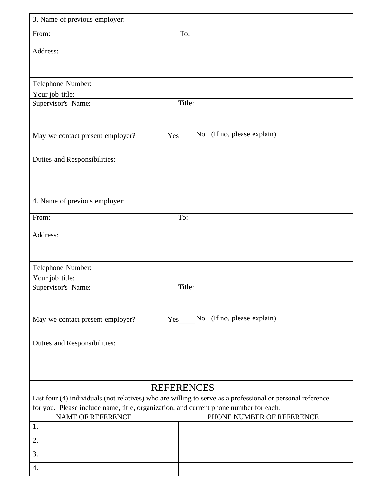| From:                                         | To:                                                                                                                                                                                                                      |
|-----------------------------------------------|--------------------------------------------------------------------------------------------------------------------------------------------------------------------------------------------------------------------------|
| Address:                                      |                                                                                                                                                                                                                          |
| Telephone Number:                             |                                                                                                                                                                                                                          |
| Your job title:                               |                                                                                                                                                                                                                          |
| Supervisor's Name:                            | Title:                                                                                                                                                                                                                   |
| May we contact present employer? ________Yes  | No (If no, please explain)                                                                                                                                                                                               |
| Duties and Responsibilities:                  |                                                                                                                                                                                                                          |
| 4. Name of previous employer:                 |                                                                                                                                                                                                                          |
| From:                                         | To:                                                                                                                                                                                                                      |
| Address:                                      |                                                                                                                                                                                                                          |
|                                               |                                                                                                                                                                                                                          |
| Telephone Number:                             |                                                                                                                                                                                                                          |
| Your job title:                               |                                                                                                                                                                                                                          |
| Supervisor's Name:                            | Title:                                                                                                                                                                                                                   |
| May we contact present employer? _________Yes | No (If no, please explain)                                                                                                                                                                                               |
| Duties and Responsibilities:                  |                                                                                                                                                                                                                          |
|                                               |                                                                                                                                                                                                                          |
|                                               | <b>REFERENCES</b><br>List four (4) individuals (not relatives) who are willing to serve as a professional or personal reference<br>for you. Please include name, title, organization, and current phone number for each. |
| <b>NAME OF REFERENCE</b><br>1.                | PHONE NUMBER OF REFERENCE                                                                                                                                                                                                |
| 2.                                            |                                                                                                                                                                                                                          |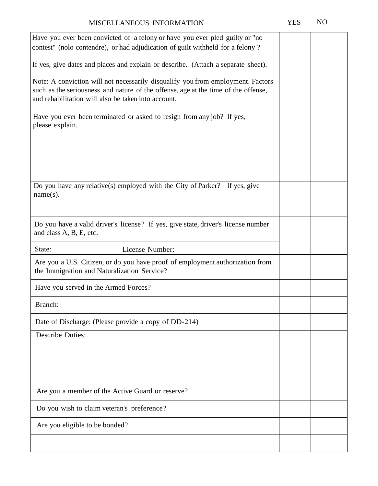| Have you ever been convicted of a felony or have you ever pled guilty or "no                                                              |  |
|-------------------------------------------------------------------------------------------------------------------------------------------|--|
| contest" (nolo contendre), or had adjudication of guilt withheld for a felony?                                                            |  |
|                                                                                                                                           |  |
| If yes, give dates and places and explain or describe. (Attach a separate sheet).                                                         |  |
|                                                                                                                                           |  |
| Note: A conviction will not necessarily disqualify you from employment. Factors                                                           |  |
| such as the seriousness and nature of the offense, age at the time of the offense,<br>and rehabilitation will also be taken into account. |  |
|                                                                                                                                           |  |
| Have you ever been terminated or asked to resign from any job? If yes,                                                                    |  |
| please explain.                                                                                                                           |  |
|                                                                                                                                           |  |
|                                                                                                                                           |  |
|                                                                                                                                           |  |
|                                                                                                                                           |  |
|                                                                                                                                           |  |
|                                                                                                                                           |  |
| Do you have any relative(s) employed with the City of Parker? If yes, give                                                                |  |
| $name(s)$ .                                                                                                                               |  |
|                                                                                                                                           |  |
|                                                                                                                                           |  |
| Do you have a valid driver's license? If yes, give state, driver's license number                                                         |  |
| and class A, B, E, etc.                                                                                                                   |  |
|                                                                                                                                           |  |
| License Number:<br>State:                                                                                                                 |  |
|                                                                                                                                           |  |
| Are you a U.S. Citizen, or do you have proof of employment authorization from                                                             |  |
| the Immigration and Naturalization Service?                                                                                               |  |
| Have you served in the Armed Forces?                                                                                                      |  |
|                                                                                                                                           |  |
| Branch:                                                                                                                                   |  |
|                                                                                                                                           |  |
| Date of Discharge: (Please provide a copy of DD-214)                                                                                      |  |
| <b>Describe Duties:</b>                                                                                                                   |  |
|                                                                                                                                           |  |
|                                                                                                                                           |  |
|                                                                                                                                           |  |
|                                                                                                                                           |  |
|                                                                                                                                           |  |
| Are you a member of the Active Guard or reserve?                                                                                          |  |
| Do you wish to claim veteran's preference?                                                                                                |  |
| Are you eligible to be bonded?                                                                                                            |  |
|                                                                                                                                           |  |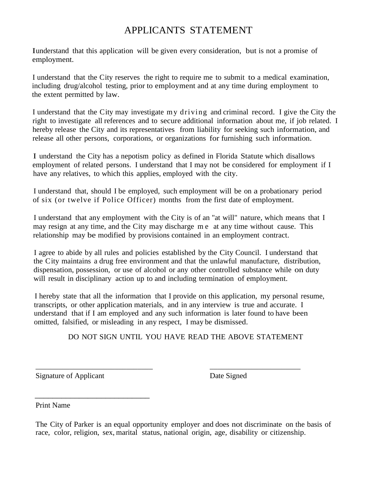### APPLICANTS STATEMENT

Iunderstand that this application will be given every consideration, but is not a promise of employment.

I understand that the City reserves the right to require me to submit to a medical examination, including drug/alcohol testing, prior to employment and at any time during employment to the extent permitted by law.

I understand that the City may investigate m y driving and criminal record. I give the City the right to investigate all references and to secure additional information about me, if job related. I hereby release the City and its representatives from liability for seeking such information, and release all other persons, corporations, or organizations for furnishing such information.

I understand the City has a nepotism policy as defined in Florida Statute which disallows employment of related persons. I understand that I may not be considered for employment if I have any relatives, to which this applies, employed with the city.

I understand that, should I be employed, such employment will be on a probationary period of six (or twelve if Police Officer) months from the first date of employment.

I understand that any employment with the City is of an "at will" nature, which means that I may resign at any time, and the City may discharge m e at any time without cause. This relationship may be modified by provisions contained in an employment contract.

I agree to abide by all rules and policies established by the City Council. I understand that the City maintains a drug free environment and that the unlawful manufacture, distribution, dispensation, possession, or use of alcohol or any other controlled substance while on duty will result in disciplinary action up to and including termination of employment.

I hereby state that all the information that I provide on this application, my personal resume, transcripts, or other application materials, and in any interview is true and accurate. I understand that if I am employed and any such information is later found to have been omitted, falsified, or misleading in any respect, I may be dismissed.

\_\_\_\_\_\_\_\_\_\_\_\_\_\_\_\_\_\_\_\_\_\_\_\_\_\_\_\_\_\_\_ \_\_\_\_\_\_\_\_\_\_\_\_\_\_\_\_\_\_\_\_\_\_\_\_

DO NOT SIGN UNTIL YOU HAVE READ THE ABOVE STATEMENT

Signature of Applicant Date Signed

 $\frac{1}{2}$  ,  $\frac{1}{2}$  ,  $\frac{1}{2}$  ,  $\frac{1}{2}$  ,  $\frac{1}{2}$  ,  $\frac{1}{2}$  ,  $\frac{1}{2}$  ,  $\frac{1}{2}$  ,  $\frac{1}{2}$  ,  $\frac{1}{2}$  ,  $\frac{1}{2}$  ,  $\frac{1}{2}$  ,  $\frac{1}{2}$  ,  $\frac{1}{2}$  ,  $\frac{1}{2}$  ,  $\frac{1}{2}$  ,  $\frac{1}{2}$  ,  $\frac{1}{2}$  ,  $\frac{1$ 

Print Name

The City of Parker is an equal opportunity employer and does not discriminate on the basis of race, color, religion, sex, marital status, national origin, age, disability or citizenship.